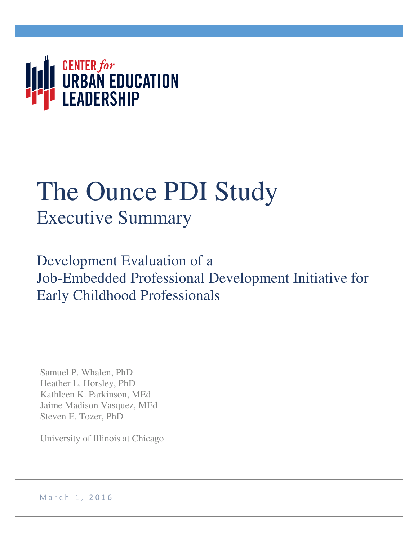

# The Ounce PDI Study Executive Summary

Development Evaluation of a Job-Embedded Professional Development Initiative for Early Childhood Professionals

Samuel P. Whalen, PhD Heather L. Horsley, PhD Kathleen K. Parkinson, MEd Jaime Madison Vasquez, MEd Steven E. Tozer, PhD

University of Illinois at Chicago

March 1, 2016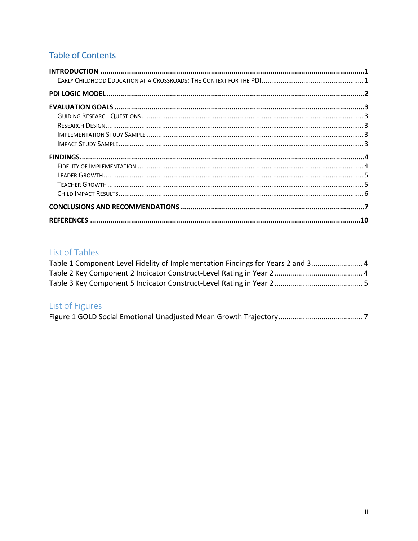# **Table of Contents**

# List of Tables

| Table 1 Component Level Fidelity of Implementation Findings for Years 2 and 3 4 |  |
|---------------------------------------------------------------------------------|--|
|                                                                                 |  |
|                                                                                 |  |

# List of Figures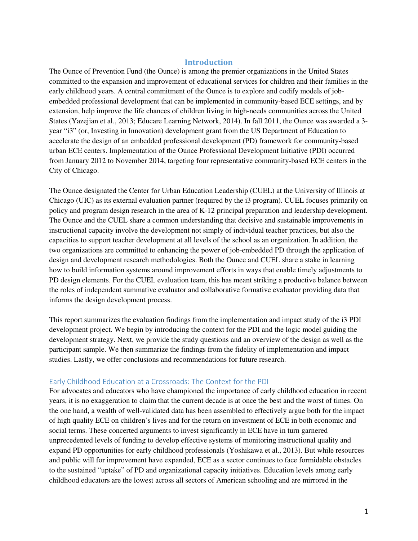### **Introduction**

<span id="page-2-0"></span>The Ounce of Prevention Fund (the Ounce) is among the premier organizations in the United States committed to the expansion and improvement of educational services for children and their families in the early childhood years. A central commitment of the Ounce is to explore and codify models of jobembedded professional development that can be implemented in community-based ECE settings, and by extension, help improve the life chances of children living in high-needs communities across the United States (Yazejian et al., 2013; Educare Learning Network, 2014). In fall 2011, the Ounce was awarded a 3 year "i3" (or, Investing in Innovation) development grant from the US Department of Education to accelerate the design of an embedded professional development (PD) framework for community-based urban ECE centers. Implementation of the Ounce Professional Development Initiative (PDI) occurred from January 2012 to November 2014, targeting four representative community-based ECE centers in the City of Chicago.

The Ounce designated the Center for Urban Education Leadership (CUEL) at the University of Illinois at Chicago (UIC) as its external evaluation partner (required by the i3 program). CUEL focuses primarily on policy and program design research in the area of K-12 principal preparation and leadership development. The Ounce and the CUEL share a common understanding that decisive and sustainable improvements in instructional capacity involve the development not simply of individual teacher practices, but also the capacities to support teacher development at all levels of the school as an organization. In addition, the two organizations are committed to enhancing the power of job-embedded PD through the application of design and development research methodologies. Both the Ounce and CUEL share a stake in learning how to build information systems around improvement efforts in ways that enable timely adjustments to PD design elements. For the CUEL evaluation team, this has meant striking a productive balance between the roles of independent summative evaluator and collaborative formative evaluator providing data that informs the design development process.

This report summarizes the evaluation findings from the implementation and impact study of the i3 PDI development project. We begin by introducing the context for the PDI and the logic model guiding the development strategy. Next, we provide the study questions and an overview of the design as well as the participant sample. We then summarize the findings from the fidelity of implementation and impact studies. Lastly, we offer conclusions and recommendations for future research.

#### <span id="page-2-1"></span>Early Childhood Education at a Crossroads: The Context for the PDI

For advocates and educators who have championed the importance of early childhood education in recent years, it is no exaggeration to claim that the current decade is at once the best and the worst of times. On the one hand, a wealth of well-validated data has been assembled to effectively argue both for the impact of high quality ECE on children's lives and for the return on investment of ECE in both economic and social terms. These concerted arguments to invest significantly in ECE have in turn garnered unprecedented levels of funding to develop effective systems of monitoring instructional quality and expand PD opportunities for early childhood professionals (Yoshikawa et al., 2013). But while resources and public will for improvement have expanded, ECE as a sector continues to face formidable obstacles to the sustained "uptake" of PD and organizational capacity initiatives. Education levels among early childhood educators are the lowest across all sectors of American schooling and are mirrored in the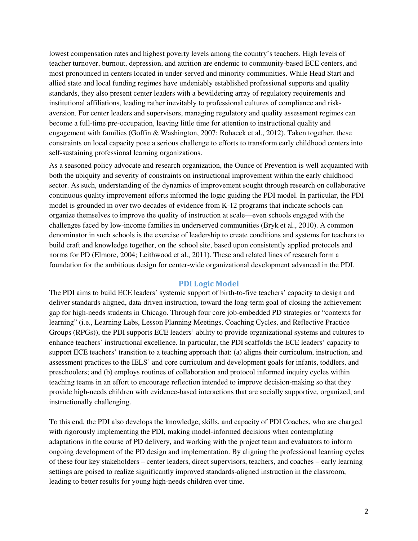lowest compensation rates and highest poverty levels among the country's teachers. High levels of teacher turnover, burnout, depression, and attrition are endemic to community-based ECE centers, and most pronounced in centers located in under-served and minority communities. While Head Start and allied state and local funding regimes have undeniably established professional supports and quality standards, they also present center leaders with a bewildering array of regulatory requirements and institutional affiliations, leading rather inevitably to professional cultures of compliance and riskaversion. For center leaders and supervisors, managing regulatory and quality assessment regimes can become a full-time pre-occupation, leaving little time for attention to instructional quality and engagement with families (Goffin & Washington, 2007; Rohacek et al., 2012). Taken together, these constraints on local capacity pose a serious challenge to efforts to transform early childhood centers into self-sustaining professional learning organizations.

As a seasoned policy advocate and research organization, the Ounce of Prevention is well acquainted with both the ubiquity and severity of constraints on instructional improvement within the early childhood sector. As such, understanding of the dynamics of improvement sought through research on collaborative continuous quality improvement efforts informed the logic guiding the PDI model. In particular, the PDI model is grounded in over two decades of evidence from K-12 programs that indicate schools can organize themselves to improve the quality of instruction at scale—even schools engaged with the challenges faced by low-income families in underserved communities (Bryk et al., 2010). A common denominator in such schools is the exercise of leadership to create conditions and systems for teachers to build craft and knowledge together, on the school site, based upon consistently applied protocols and norms for PD (Elmore, 2004; Leithwood et al., 2011). These and related lines of research form a foundation for the ambitious design for center-wide organizational development advanced in the PDI.

#### **PDI Logic Model**

<span id="page-3-0"></span>The PDI aims to build ECE leaders' systemic support of birth-to-five teachers' capacity to design and deliver standards-aligned, data-driven instruction, toward the long-term goal of closing the achievement gap for high-needs students in Chicago. Through four core job-embedded PD strategies or "contexts for learning" (i.e., Learning Labs, Lesson Planning Meetings, Coaching Cycles, and Reflective Practice Groups (RPGs)), the PDI supports ECE leaders' ability to provide organizational systems and cultures to enhance teachers' instructional excellence. In particular, the PDI scaffolds the ECE leaders' capacity to support ECE teachers' transition to a teaching approach that: (a) aligns their curriculum, instruction, and assessment practices to the IELS' and core curriculum and development goals for infants, toddlers, and preschoolers; and (b) employs routines of collaboration and protocol informed inquiry cycles within teaching teams in an effort to encourage reflection intended to improve decision-making so that they provide high-needs children with evidence-based interactions that are socially supportive, organized, and instructionally challenging.

To this end, the PDI also develops the knowledge, skills, and capacity of PDI Coaches, who are charged with rigorously implementing the PDI, making model-informed decisions when contemplating adaptations in the course of PD delivery, and working with the project team and evaluators to inform ongoing development of the PD design and implementation. By aligning the professional learning cycles of these four key stakeholders – center leaders, direct supervisors, teachers, and coaches – early learning settings are poised to realize significantly improved standards-aligned instruction in the classroom, leading to better results for young high-needs children over time.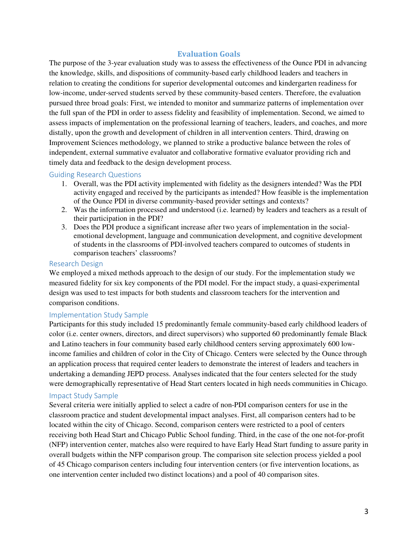# **Evaluation Goals**

<span id="page-4-0"></span>The purpose of the 3-year evaluation study was to assess the effectiveness of the Ounce PDI in advancing the knowledge, skills, and dispositions of community-based early childhood leaders and teachers in relation to creating the conditions for superior developmental outcomes and kindergarten readiness for low-income, under-served students served by these community-based centers. Therefore, the evaluation pursued three broad goals: First, we intended to monitor and summarize patterns of implementation over the full span of the PDI in order to assess fidelity and feasibility of implementation. Second, we aimed to assess impacts of implementation on the professional learning of teachers, leaders, and coaches, and more distally, upon the growth and development of children in all intervention centers. Third, drawing on Improvement Sciences methodology, we planned to strike a productive balance between the roles of independent, external summative evaluator and collaborative formative evaluator providing rich and timely data and feedback to the design development process.

#### <span id="page-4-1"></span>Guiding Research Questions

- 1. Overall, was the PDI activity implemented with fidelity as the designers intended? Was the PDI activity engaged and received by the participants as intended? How feasible is the implementation of the Ounce PDI in diverse community-based provider settings and contexts?
- 2. Was the information processed and understood (i.e. learned) by leaders and teachers as a result of their participation in the PDI?
- 3. Does the PDI produce a significant increase after two years of implementation in the socialemotional development, language and communication development, and cognitive development of students in the classrooms of PDI-involved teachers compared to outcomes of students in comparison teachers' classrooms?

#### <span id="page-4-2"></span>Research Design

We employed a mixed methods approach to the design of our study. For the implementation study we measured fidelity for six key components of the PDI model. For the impact study, a quasi-experimental design was used to test impacts for both students and classroom teachers for the intervention and comparison conditions.

#### <span id="page-4-3"></span>Implementation Study Sample

Participants for this study included 15 predominantly female community-based early childhood leaders of color (i.e. center owners, directors, and direct supervisors) who supported 60 predominantly female Black and Latino teachers in four community based early childhood centers serving approximately 600 lowincome families and children of color in the City of Chicago. Centers were selected by the Ounce through an application process that required center leaders to demonstrate the interest of leaders and teachers in undertaking a demanding JEPD process. Analyses indicated that the four centers selected for the study were demographically representative of Head Start centers located in high needs communities in Chicago.

#### <span id="page-4-4"></span>Impact Study Sample

Several criteria were initially applied to select a cadre of non-PDI comparison centers for use in the classroom practice and student developmental impact analyses. First, all comparison centers had to be located within the city of Chicago. Second, comparison centers were restricted to a pool of centers receiving both Head Start and Chicago Public School funding. Third, in the case of the one not-for-profit (NFP) intervention center, matches also were required to have Early Head Start funding to assure parity in overall budgets within the NFP comparison group. The comparison site selection process yielded a pool of 45 Chicago comparison centers including four intervention centers (or five intervention locations, as one intervention center included two distinct locations) and a pool of 40 comparison sites.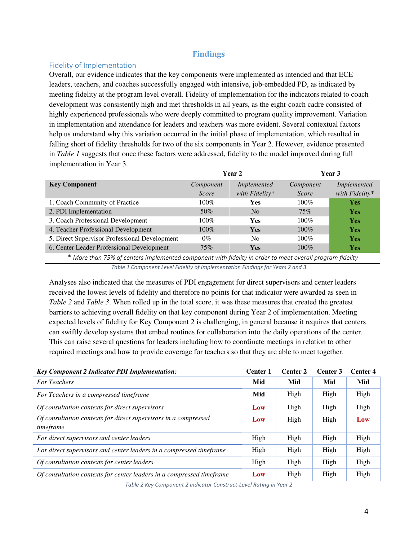# **Findings**

#### <span id="page-5-1"></span><span id="page-5-0"></span>Fidelity of Implementation

Overall, our evidence indicates that the key components were implemented as intended and that ECE leaders, teachers, and coaches successfully engaged with intensive, job-embedded PD, as indicated by meeting fidelity at the program level overall. Fidelity of implementation for the indicators related to coach development was consistently high and met thresholds in all years, as the eight-coach cadre consisted of highly experienced professionals who were deeply committed to program quality improvement. Variation in implementation and attendance for leaders and teachers was more evident. Several contextual factors help us understand why this variation occurred in the initial phase of implementation, which resulted in falling short of fidelity thresholds for two of the six components in Year 2. However, evidence presented in *Table 1* suggests that once these factors were addressed, fidelity to the model improved during full implementation in Year 3.

|                                               | Year 2    |                    | Year 3    |                |
|-----------------------------------------------|-----------|--------------------|-----------|----------------|
| <b>Key Component</b>                          | Component | <i>Implemented</i> | Component | Implemented    |
|                                               | Score     | with Fidelity*     | Score     | with Fidelity* |
| 1. Coach Community of Practice                | $100\%$   | Yes                | $100\%$   | Yes            |
| 2. PDI Implementation                         | 50%       | N <sub>0</sub>     | 75%       | <b>Yes</b>     |
| 3. Coach Professional Development             | $100\%$   | <b>Yes</b>         | $100\%$   | <b>Yes</b>     |
| 4. Teacher Professional Development           | $100\%$   | <b>Yes</b>         | $100\%$   | <b>Yes</b>     |
| 5. Direct Supervisor Professional Development | $0\%$     | N <sub>0</sub>     | $100\%$   | <b>Yes</b>     |
| 6. Center Leader Professional Development     | 75%       | <b>Yes</b>         | $100\%$   | <b>Yes</b>     |

\* *More than 75% of centers implemented component with fidelity in order to meet overall program fidelity Table 1 Component Level Fidelity of Implementation Findings for Years 2 and 3*

Analyses also indicated that the measures of PDI engagement for direct supervisors and center leaders received the lowest levels of fidelity and therefore no points for that indicator were awarded as seen in *Table 2* and *Table 3*. When rolled up in the total score, it was these measures that created the greatest barriers to achieving overall fidelity on that key component during Year 2 of implementation. Meeting expected levels of fidelity for Key Component 2 is challenging, in general because it requires that centers can swiftly develop systems that embed routines for collaboration into the daily operations of the center. This can raise several questions for leaders including how to coordinate meetings in relation to other required meetings and how to provide coverage for teachers so that they are able to meet together.

| <b>Key Component 2 Indicator PDI Implementation:</b>                         | <b>Center 1</b> | Center 2 | Center 3 | Center 4 |
|------------------------------------------------------------------------------|-----------------|----------|----------|----------|
| <b>For Teachers</b>                                                          | Mid             | Mid      | Mid      | Mid      |
| For Teachers in a compressed timeframe                                       | Mid             | High     | High     | High     |
| Of consultation contexts for direct supervisors                              | Low             | High     | High     | High     |
| Of consultation contexts for direct supervisors in a compressed<br>timeframe | Low             | High     | High     | Low      |
| For direct supervisors and center leaders                                    | High            | High     | High     | High     |
| For direct supervisors and center leaders in a compressed timeframe          | High            | High     | High     | High     |
| Of consultation contexts for center leaders                                  | High            | High     | High     | High     |
| Of consultation contexts for center leaders in a compressed timeframe        | Low             | High     | High     | High     |

*Table 2 Key Component 2 Indicator Construct-Level Rating in Year 2*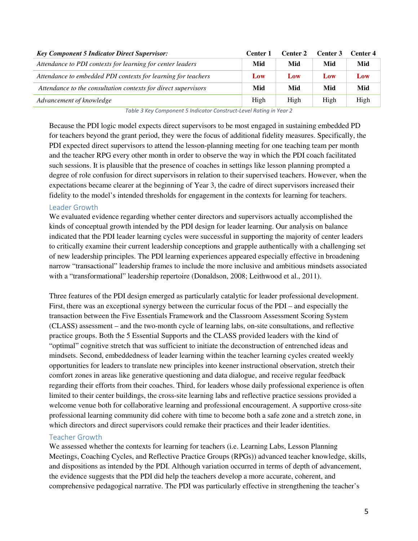| <b>Key Component 5 Indicator Direct Supervisor:</b>            | Center 1 | Center 2 | Center 3 | Center 4 |
|----------------------------------------------------------------|----------|----------|----------|----------|
| Attendance to PDI contexts for learning for center leaders     | Mid      | Mid      | Mid      | Mid      |
| Attendance to embedded PDI contexts for learning for teachers  | Low      | Low      | Low      | Low      |
| Attendance to the consultation contexts for direct supervisors | Mid      | Mid      | Mid      | Mid      |
| Advancement of knowledge                                       | High     | High     | High     | High     |

*Table 3 Key Component 5 Indicator Construct-Level Rating in Year 2*

Because the PDI logic model expects direct supervisors to be most engaged in sustaining embedded PD for teachers beyond the grant period, they were the focus of additional fidelity measures. Specifically, the PDI expected direct supervisors to attend the lesson-planning meeting for one teaching team per month and the teacher RPG every other month in order to observe the way in which the PDI coach facilitated such sessions. It is plausible that the presence of coaches in settings like lesson planning prompted a degree of role confusion for direct supervisors in relation to their supervised teachers. However, when the expectations became clearer at the beginning of Year 3, the cadre of direct supervisors increased their fidelity to the model's intended thresholds for engagement in the contexts for learning for teachers.

#### <span id="page-6-0"></span>Leader Growth

We evaluated evidence regarding whether center directors and supervisors actually accomplished the kinds of conceptual growth intended by the PDI design for leader learning. Our analysis on balance indicated that the PDI leader learning cycles were successful in supporting the majority of center leaders to critically examine their current leadership conceptions and grapple authentically with a challenging set of new leadership principles. The PDI learning experiences appeared especially effective in broadening narrow "transactional" leadership frames to include the more inclusive and ambitious mindsets associated with a "transformational" leadership repertoire (Donaldson, 2008; Leithwood et al., 2011).

Three features of the PDI design emerged as particularly catalytic for leader professional development. First, there was an exceptional synergy between the curricular focus of the PDI – and especially the transaction between the Five Essentials Framework and the Classroom Assessment Scoring System (CLASS) assessment – and the two-month cycle of learning labs, on-site consultations, and reflective practice groups. Both the 5 Essential Supports and the CLASS provided leaders with the kind of "optimal" cognitive stretch that was sufficient to initiate the deconstruction of entrenched ideas and mindsets. Second, embeddedness of leader learning within the teacher learning cycles created weekly opportunities for leaders to translate new principles into keener instructional observation, stretch their comfort zones in areas like generative questioning and data dialogue, and receive regular feedback regarding their efforts from their coaches. Third, for leaders whose daily professional experience is often limited to their center buildings, the cross-site learning labs and reflective practice sessions provided a welcome venue both for collaborative learning and professional encouragement. A supportive cross-site professional learning community did cohere with time to become both a safe zone and a stretch zone, in which directors and direct supervisors could remake their practices and their leader identities.

## <span id="page-6-1"></span>Teacher Growth

We assessed whether the contexts for learning for teachers (i.e. Learning Labs, Lesson Planning Meetings, Coaching Cycles, and Reflective Practice Groups (RPGs)) advanced teacher knowledge, skills, and dispositions as intended by the PDI. Although variation occurred in terms of depth of advancement, the evidence suggests that the PDI did help the teachers develop a more accurate, coherent, and comprehensive pedagogical narrative. The PDI was particularly effective in strengthening the teacher's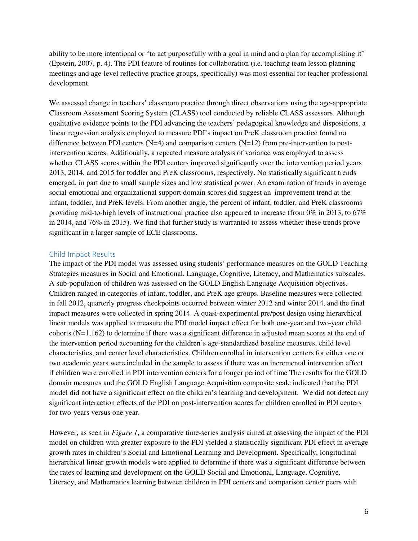ability to be more intentional or "to act purposefully with a goal in mind and a plan for accomplishing it" (Epstein, 2007, p. 4). The PDI feature of routines for collaboration (i.e. teaching team lesson planning meetings and age-level reflective practice groups, specifically) was most essential for teacher professional development.

We assessed change in teachers' classroom practice through direct observations using the age-appropriate Classroom Assessment Scoring System (CLASS) tool conducted by reliable CLASS assessors. Although qualitative evidence points to the PDI advancing the teachers' pedagogical knowledge and dispositions, a linear regression analysis employed to measure PDI's impact on PreK classroom practice found no difference between PDI centers (N=4) and comparison centers (N=12) from pre-intervention to postintervention scores. Additionally, a repeated measure analysis of variance was employed to assess whether CLASS scores within the PDI centers improved significantly over the intervention period years 2013, 2014, and 2015 for toddler and PreK classrooms, respectively. No statistically significant trends emerged, in part due to small sample sizes and low statistical power. An examination of trends in average social-emotional and organizational support domain scores did suggest an improvement trend at the infant, toddler, and PreK levels. From another angle, the percent of infant, toddler, and PreK classrooms providing mid-to-high levels of instructional practice also appeared to increase (from 0% in 2013, to 67% in 2014, and 76% in 2015). We find that further study is warranted to assess whether these trends prove significant in a larger sample of ECE classrooms.

#### <span id="page-7-0"></span>Child Impact Results

The impact of the PDI model was assessed using students' performance measures on the GOLD Teaching Strategies measures in Social and Emotional, Language, Cognitive, Literacy, and Mathematics subscales. A sub-population of children was assessed on the GOLD English Language Acquisition objectives. Children ranged in categories of infant, toddler, and PreK age groups. Baseline measures were collected in fall 2012, quarterly progress checkpoints occurred between winter 2012 and winter 2014, and the final impact measures were collected in spring 2014. A quasi-experimental pre/post design using hierarchical linear models was applied to measure the PDI model impact effect for both one-year and two-year child cohorts  $(N=1,162)$  to determine if there was a significant difference in adjusted mean scores at the end of the intervention period accounting for the children's age-standardized baseline measures, child level characteristics, and center level characteristics. Children enrolled in intervention centers for either one or two academic years were included in the sample to assess if there was an incremental intervention effect if children were enrolled in PDI intervention centers for a longer period of time The results for the GOLD domain measures and the GOLD English Language Acquisition composite scale indicated that the PDI model did not have a significant effect on the children's learning and development. We did not detect any significant interaction effects of the PDI on post-intervention scores for children enrolled in PDI centers for two-years versus one year.

However, as seen in *Figure 1*, a comparative time-series analysis aimed at assessing the impact of the PDI model on children with greater exposure to the PDI yielded a statistically significant PDI effect in average growth rates in children's Social and Emotional Learning and Development. Specifically, longitudinal hierarchical linear growth models were applied to determine if there was a significant difference between the rates of learning and development on the GOLD Social and Emotional, Language, Cognitive, Literacy, and Mathematics learning between children in PDI centers and comparison center peers with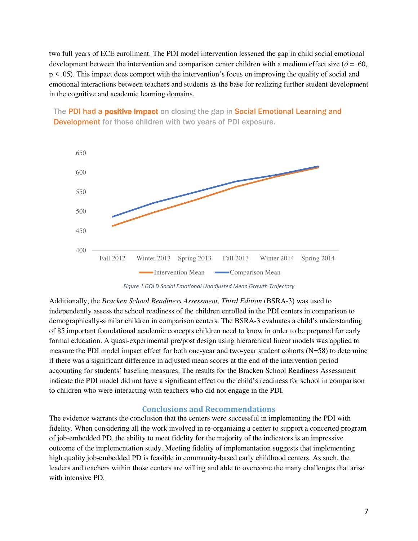two full years of ECE enrollment. The PDI model intervention lessened the gap in child social emotional development between the intervention and comparison center children with a medium effect size ( $\delta$  = .60, p < .05). This impact does comport with the intervention's focus on improving the quality of social and emotional interactions between teachers and students as the base for realizing further student development in the cognitive and academic learning domains.

The PDI had a **positive impact** on closing the gap in Social Emotional Learning and Development for those children with two years of PDI exposure.



*Figure 1 GOLD Social Emotional Unadjusted Mean Growth Trajectory*

Additionally, the *Bracken School Readiness Assessment, Third Edition* (BSRA-3) was used to independently assess the school readiness of the children enrolled in the PDI centers in comparison to demographically-similar children in comparison centers. The BSRA-3 evaluates a child's understanding of 85 important foundational academic concepts children need to know in order to be prepared for early formal education. A quasi-experimental pre/post design using hierarchical linear models was applied to measure the PDI model impact effect for both one-year and two-year student cohorts (N=58) to determine if there was a significant difference in adjusted mean scores at the end of the intervention period accounting for students' baseline measures. The results for the Bracken School Readiness Assessment indicate the PDI model did not have a significant effect on the child's readiness for school in comparison to children who were interacting with teachers who did not engage in the PDI.

## **Conclusions and Recommendations**

<span id="page-8-0"></span>The evidence warrants the conclusion that the centers were successful in implementing the PDI with fidelity. When considering all the work involved in re-organizing a center to support a concerted program of job-embedded PD, the ability to meet fidelity for the majority of the indicators is an impressive outcome of the implementation study. Meeting fidelity of implementation suggests that implementing high quality job-embedded PD is feasible in community-based early childhood centers. As such, the leaders and teachers within those centers are willing and able to overcome the many challenges that arise with intensive PD.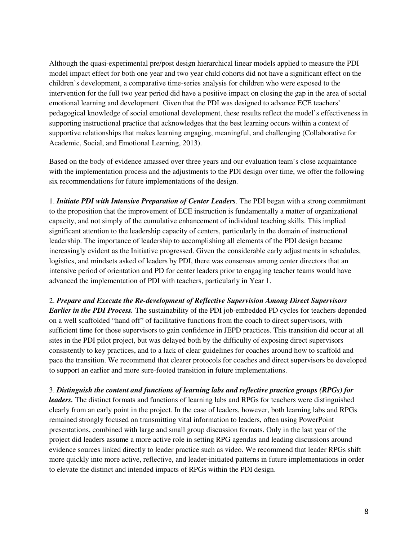Although the quasi-experimental pre/post design hierarchical linear models applied to measure the PDI model impact effect for both one year and two year child cohorts did not have a significant effect on the children's development, a comparative time-series analysis for children who were exposed to the intervention for the full two year period did have a positive impact on closing the gap in the area of social emotional learning and development. Given that the PDI was designed to advance ECE teachers' pedagogical knowledge of social emotional development, these results reflect the model's effectiveness in supporting instructional practice that acknowledges that the best learning occurs within a context of supportive relationships that makes learning engaging, meaningful, and challenging (Collaborative for Academic, Social, and Emotional Learning, 2013).

Based on the body of evidence amassed over three years and our evaluation team's close acquaintance with the implementation process and the adjustments to the PDI design over time, we offer the following six recommendations for future implementations of the design.

1. *Initiate PDI with Intensive Preparation of Center Leaders*. The PDI began with a strong commitment to the proposition that the improvement of ECE instruction is fundamentally a matter of organizational capacity, and not simply of the cumulative enhancement of individual teaching skills. This implied significant attention to the leadership capacity of centers, particularly in the domain of instructional leadership. The importance of leadership to accomplishing all elements of the PDI design became increasingly evident as the Initiative progressed. Given the considerable early adjustments in schedules, logistics, and mindsets asked of leaders by PDI, there was consensus among center directors that an intensive period of orientation and PD for center leaders prior to engaging teacher teams would have advanced the implementation of PDI with teachers, particularly in Year 1.

2. *Prepare and Execute the Re-development of Reflective Supervision Among Direct Supervisors Earlier in the PDI Process.* The sustainability of the PDI job-embedded PD cycles for teachers depended on a well scaffolded "hand off" of facilitative functions from the coach to direct supervisors, with sufficient time for those supervisors to gain confidence in JEPD practices. This transition did occur at all sites in the PDI pilot project, but was delayed both by the difficulty of exposing direct supervisors consistently to key practices, and to a lack of clear guidelines for coaches around how to scaffold and pace the transition. We recommend that clearer protocols for coaches and direct supervisors be developed to support an earlier and more sure-footed transition in future implementations.

3. *Distinguish the content and functions of learning labs and reflective practice groups (RPGs) for leaders.* The distinct formats and functions of learning labs and RPGs for teachers were distinguished clearly from an early point in the project. In the case of leaders, however, both learning labs and RPGs remained strongly focused on transmitting vital information to leaders, often using PowerPoint presentations, combined with large and small group discussion formats. Only in the last year of the project did leaders assume a more active role in setting RPG agendas and leading discussions around evidence sources linked directly to leader practice such as video. We recommend that leader RPGs shift more quickly into more active, reflective, and leader-initiated patterns in future implementations in order to elevate the distinct and intended impacts of RPGs within the PDI design.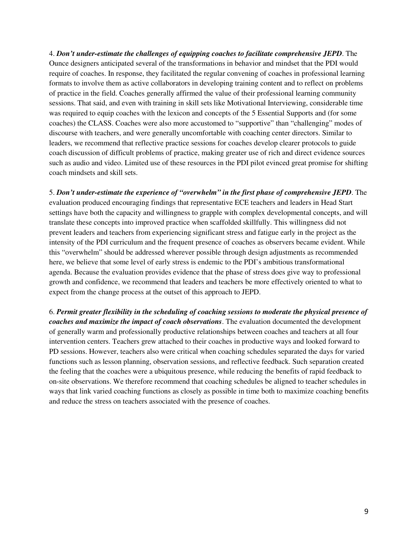4. *Don't under-estimate the challenges of equipping coaches to facilitate comprehensive JEPD*. The Ounce designers anticipated several of the transformations in behavior and mindset that the PDI would require of coaches. In response, they facilitated the regular convening of coaches in professional learning formats to involve them as active collaborators in developing training content and to reflect on problems of practice in the field. Coaches generally affirmed the value of their professional learning community sessions. That said, and even with training in skill sets like Motivational Interviewing, considerable time was required to equip coaches with the lexicon and concepts of the 5 Essential Supports and (for some coaches) the CLASS. Coaches were also more accustomed to "supportive" than "challenging" modes of discourse with teachers, and were generally uncomfortable with coaching center directors. Similar to leaders, we recommend that reflective practice sessions for coaches develop clearer protocols to guide coach discussion of difficult problems of practice, making greater use of rich and direct evidence sources such as audio and video. Limited use of these resources in the PDI pilot evinced great promise for shifting coach mindsets and skill sets.

5. *Don't under-estimate the experience of "overwhelm" in the first phase of comprehensive JEPD*. The evaluation produced encouraging findings that representative ECE teachers and leaders in Head Start settings have both the capacity and willingness to grapple with complex developmental concepts, and will translate these concepts into improved practice when scaffolded skillfully. This willingness did not prevent leaders and teachers from experiencing significant stress and fatigue early in the project as the intensity of the PDI curriculum and the frequent presence of coaches as observers became evident. While this "overwhelm" should be addressed wherever possible through design adjustments as recommended here, we believe that some level of early stress is endemic to the PDI's ambitious transformational agenda. Because the evaluation provides evidence that the phase of stress does give way to professional growth and confidence, we recommend that leaders and teachers be more effectively oriented to what to expect from the change process at the outset of this approach to JEPD.

6. *Permit greater flexibility in the scheduling of coaching sessions to moderate the physical presence of coaches and maximize the impact of coach observations*. The evaluation documented the development of generally warm and professionally productive relationships between coaches and teachers at all four intervention centers. Teachers grew attached to their coaches in productive ways and looked forward to PD sessions. However, teachers also were critical when coaching schedules separated the days for varied functions such as lesson planning, observation sessions, and reflective feedback. Such separation created the feeling that the coaches were a ubiquitous presence, while reducing the benefits of rapid feedback to on-site observations. We therefore recommend that coaching schedules be aligned to teacher schedules in ways that link varied coaching functions as closely as possible in time both to maximize coaching benefits and reduce the stress on teachers associated with the presence of coaches.